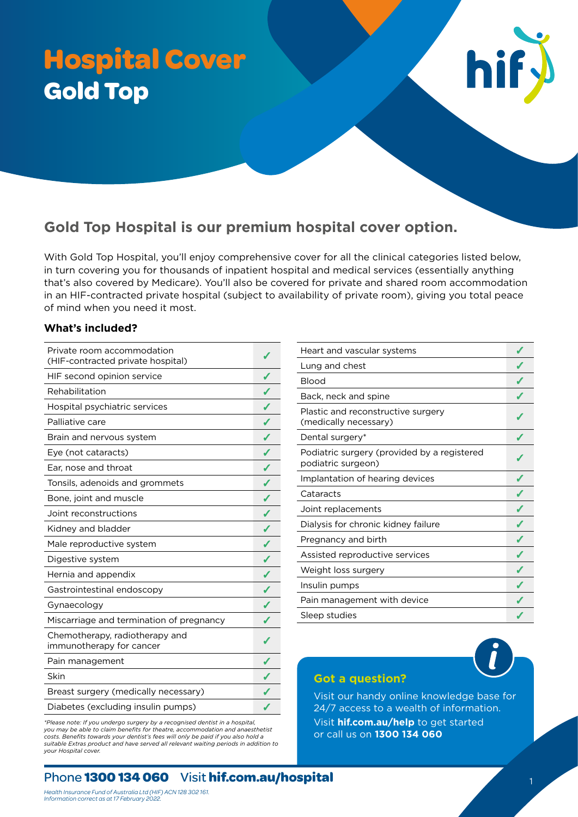# **Hospital Cover Gold Top**

# **Gold Top Hospital is our premium hospital cover option.**

With Gold Top Hospital, you'll enjoy comprehensive cover for all the clinical categories listed below, in turn covering you for thousands of inpatient hospital and medical services (essentially anything that's also covered by Medicare). You'll also be covered for private and shared room accommodation in an HIF-contracted private hospital (subject to availability of private room), giving you total peace of mind when you need it most.

# **What's included?**

| Private room accommodation<br>(HIF-contracted private hospital) | ℐ |
|-----------------------------------------------------------------|---|
| HIF second opinion service                                      |   |
| Rehabilitation                                                  |   |
| Hospital psychiatric services                                   |   |
| Palliative care                                                 | ℐ |
| Brain and nervous system                                        |   |
| Eye (not cataracts)                                             | J |
| Ear, nose and throat                                            |   |
| Tonsils, adenoids and grommets                                  | J |
| Bone, joint and muscle                                          | Í |
| Joint reconstructions                                           | J |
| Kidney and bladder                                              |   |
| Male reproductive system                                        | ✔ |
| Digestive system                                                | ℐ |
| Hernia and appendix                                             | J |
| Gastrointestinal endoscopy                                      | ℐ |
| Gynaecology                                                     |   |
| Miscarriage and termination of pregnancy                        |   |
| Chemotherapy, radiotherapy and<br>immunotherapy for cancer      |   |
| Pain management                                                 |   |
| Skin                                                            | J |
| Breast surgery (medically necessary)                            |   |
| Diabetes (excluding insulin pumps)                              |   |

*\*Please note: If you undergo surgery by a recognised dentist in a hospital, you may be able to claim benefits for theatre, accommodation and anaesthetist costs. Benefits towards your dentist's fees will only be paid if you also hold a suitable Extras product and have served all relevant waiting periods in addition to your Hospital cover.*

| Heart and vascular systems                                        |  |
|-------------------------------------------------------------------|--|
| Lung and chest                                                    |  |
| <b>Blood</b>                                                      |  |
| Back, neck and spine                                              |  |
| Plastic and reconstructive surgery<br>(medically necessary)       |  |
| Dental surgery*                                                   |  |
| Podiatric surgery (provided by a registered<br>podiatric surgeon) |  |
| Implantation of hearing devices                                   |  |
| Cataracts                                                         |  |
| Joint replacements                                                |  |
| Dialysis for chronic kidney failure                               |  |
| Pregnancy and birth                                               |  |
| Assisted reproductive services                                    |  |
| Weight loss surgery                                               |  |
| Insulin pumps                                                     |  |
| Pain management with device                                       |  |
| Sleep studies                                                     |  |

hif

# **Got a question?**

Visit our handy online knowledge base for 24/7 access to a wealth of information. Visit **[hif.com.au/help](http://hif.com.au/help)** to get started or call us on **1300 134 060**

# Phone **1300 134 060** Visit **[hif.com.au/hospital](http://hif.com.au/hospital)** <sup>1</sup>